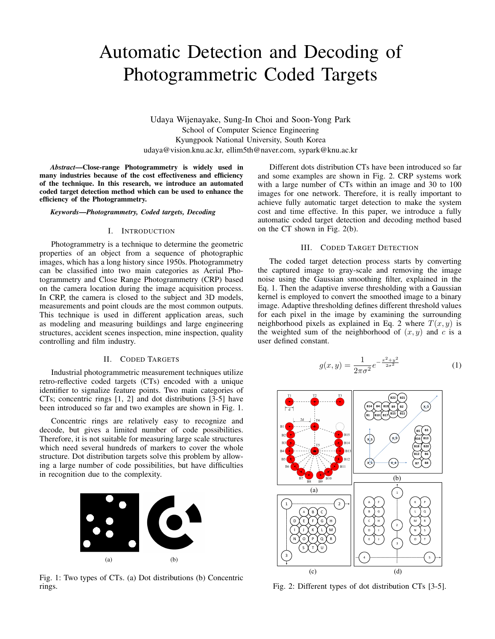# Automatic Detection and Decoding of Photogrammetric Coded Targets

Udaya Wijenayake, Sung-In Choi and Soon-Yong Park School of Computer Science Engineering Kyungpook National University, South Korea udaya@vision.knu.ac.kr, ellim5th@naver.com, sypark@knu.ac.kr

*Abstract*—Close-range Photogrammetry is widely used in many industries because of the cost effectiveness and efficiency of the technique. In this research, we introduce an automated coded target detection method which can be used to enhance the efficiency of the Photogrammetry.

*Keywords*—*Photogrammetry, Coded targets, Decoding*

## I. INTRODUCTION

Photogrammetry is a technique to determine the geometric properties of an object from a sequence of photographic images, which has a long history since 1950s. Photogrammetry can be classified into two main categories as Aerial Photogrammetry and Close Range Photogrammetry (CRP) based on the camera location during the image acquisition process. In CRP, the camera is closed to the subject and 3D models, measurements and point clouds are the most common outputs. This technique is used in different application areas, such as modeling and measuring buildings and large engineering structures, accident scenes inspection, mine inspection, quality controlling and film industry.

## II. CODED TARGETS

Industrial photogrammetric measurement techniques utilize retro-reflective coded targets (CTs) encoded with a unique identifier to signalize feature points. Two main categories of CTs; concentric rings [1, 2] and dot distributions [3-5] have been introduced so far and two examples are shown in Fig. 1.

Concentric rings are relatively easy to recognize and decode, but gives a limited number of code possibilities. Therefore, it is not suitable for measuring large scale structures which need several hundreds of markers to cover the whole structure. Dot distribution targets solve this problem by allowing a large number of code possibilities, but have difficulties in recognition due to the complexity.



Fig. 1: Two types of CTs. (a) Dot distributions (b) Concentric rings.

Different dots distribution CTs have been introduced so far and some examples are shown in Fig. 2. CRP systems work with a large number of CTs within an image and 30 to 100 images for one network. Therefore, it is really important to achieve fully automatic target detection to make the system cost and time effective. In this paper, we introduce a fully automatic coded target detection and decoding method based on the CT shown in Fig. 2(b).

## III. CODED TARGET DETECTION

The coded target detection process starts by converting the captured image to gray-scale and removing the image noise using the Gaussian smoothing filter, explained in the Eq. 1. Then the adaptive inverse thresholding with a Gaussian kernel is employed to convert the smoothed image to a binary image. Adaptive thresholding defines different threshold values for each pixel in the image by examining the surrounding neighborhood pixels as explained in Eq. 2 where  $T(x, y)$  is the weighted sum of the neighborhood of  $(x, y)$  and c is a user defined constant.

$$
g(x,y) = \frac{1}{2\pi\sigma^2} e^{-\frac{x^2 + y^2}{2\sigma^2}}
$$
 (1)



Fig. 2: Different types of dot distribution CTs [3-5].